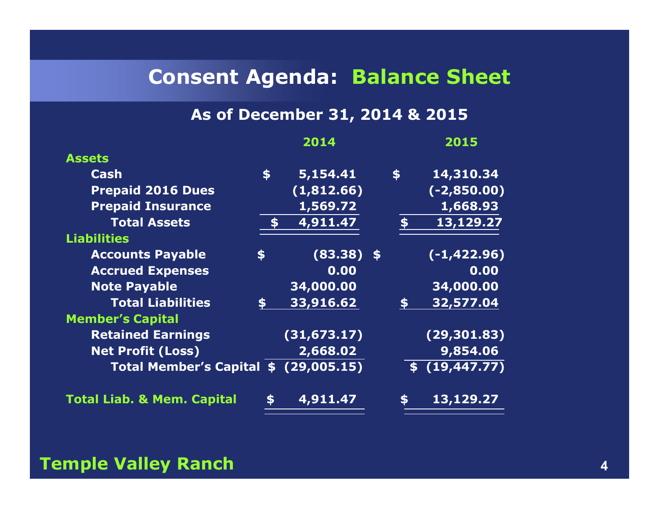## **Consent Agenda: Balance Sheet**

## **As of December 31, 2014 & 2015**

|                                       |                 | 2014         |             | 2015           |
|---------------------------------------|-----------------|--------------|-------------|----------------|
| <b>Assets</b>                         |                 |              |             |                |
| Cash                                  | $\blacklozenge$ | 5,154.41     | $$^{\circ}$ | 14,310.34      |
| <b>Prepaid 2016 Dues</b>              |                 | (1,812.66)   |             | $(-2, 850.00)$ |
| <b>Prepaid Insurance</b>              |                 | 1,569.72     |             | 1,668.93       |
| <b>Total Assets</b>                   |                 | 4,911.47     |             | 13,129.27      |
| <b>Liabilities</b>                    |                 |              |             |                |
| <b>Accounts Payable</b>               | \$              | $(83.38)$ \$ |             | $(-1, 422.96)$ |
| <b>Accrued Expenses</b>               |                 | 0.00         |             | 0.00           |
| <b>Note Payable</b>                   |                 | 34,000.00    |             | 34,000.00      |
| <b>Total Liabilities</b>              | \$              | 33,916.62    | \$          | 32,577.04      |
| <b>Member's Capital</b>               |                 |              |             |                |
| <b>Retained Earnings</b>              |                 | (31, 673.17) |             | (29, 301.83)   |
| <b>Net Profit (Loss)</b>              |                 | 2,668.02     |             | 9,854.06       |
| Total Member's Capital \$ (29,005.15) |                 |              |             | \$(19, 447.77) |
| <b>Total Liab. &amp; Mem. Capital</b> | \$              | 4,911.47     | \$          | 13,129.27      |
|                                       |                 |              |             |                |

### **Temple Valley Ranch<sup>4</sup>**